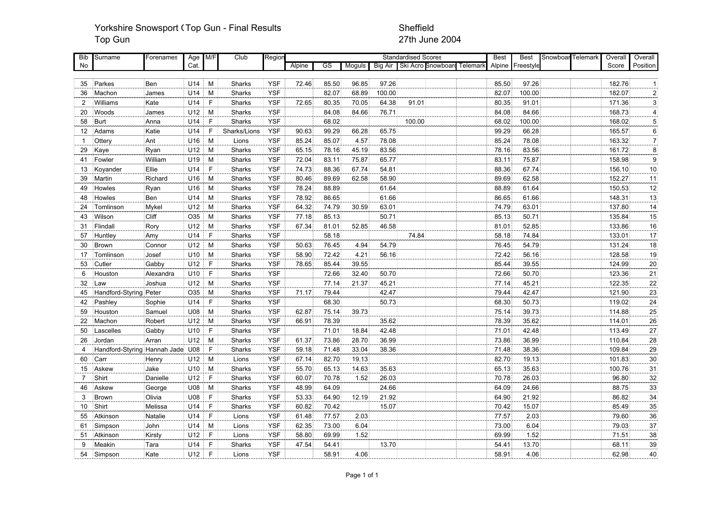### Yorkshire Snowsport (Top Gun - Final Results Sheffield Top Gun 27th June 2004

| Bib            | Surname                          | Forenames | Age M/F |              | Club          | Regior     |        |       |        |                | <b>Standardised Scores</b> |                    |          | <b>Best</b> | <b>Best</b> | Snowboar Telemark | Overall | Overall                 |
|----------------|----------------------------------|-----------|---------|--------------|---------------|------------|--------|-------|--------|----------------|----------------------------|--------------------|----------|-------------|-------------|-------------------|---------|-------------------------|
| No             |                                  |           | Cat.    |              |               |            | Alpine | GS    | Moguls | <b>Big Air</b> |                            | Ski Acro Snowboard | Telemarl | Alpine      | Freestyle   |                   | Score   | Position                |
|                |                                  |           |         |              |               |            |        |       |        |                |                            |                    |          |             |             |                   |         |                         |
| 35             | Parkes                           | Ben       | U14     | M            | Sharks        | <b>YSF</b> | 72.46  | 85.50 | 96.85  | 97.26          |                            |                    |          | 85.50       | 97.26       |                   | 182.76  | $\mathbf 1$             |
| 36             | Machon                           | James     | U14     | M            | <b>Sharks</b> | <b>YSF</b> |        | 82.07 | 68.89  | 100.00         |                            |                    |          | 82.07       | 100.00      |                   | 182.07  | $\overline{\mathbf{c}}$ |
| $\overline{2}$ | Williams                         | Kate      | U14     | $\mathsf F$  | Sharks        | <b>YSF</b> | 72.65  | 80.35 | 70.05  | 64.38          | 91.01                      |                    |          | 80.35       | 91.01       |                   | 171.36  | 3                       |
| 20             | Woods                            | James     | U12     | M            | Sharks        | <b>YSF</b> |        | 84.08 | 84.66  | 76.71          |                            |                    |          | 84.08       | 84.66       |                   | 168.73  | $\overline{\mathbf{4}}$ |
| 58             | Burt                             | Anna      | U14     | $\mathsf{F}$ | Sharks        | <b>YSF</b> |        | 68.02 |        |                | 100.00                     |                    |          | 68.02       | 100.00      |                   | 168.02  | $\sqrt{5}$              |
| 12             | Adams                            | Katie     | U14     | $\mathsf{F}$ | Sharks/Lions  | <b>YSF</b> | 90.63  | 99.29 | 66.28  | 65.75          |                            |                    |          | 99.29       | 66.28       |                   | 165.57  | $6 \overline{}$         |
| $\overline{1}$ | Ottery                           | Ant       | U16     | M            | Lions         | <b>YSF</b> | 85.24  | 85.07 | 4.57   | 78.08          |                            |                    |          | 85.24       | 78.08       |                   | 163.32  | $\overline{7}$          |
| 29             | Kaye                             | Ryan      | U12     | M            | Sharks        | <b>YSF</b> | 65.15  | 78.16 | 45.19  | 83.56          |                            |                    |          | 78.16       | 83.56       |                   | 161.72  | $\bf 8$                 |
| 41             | Fowler                           | William   | U19     | M            | Sharks        | <b>YSF</b> | 72.04  | 83.11 | 75.87  | 65.77          |                            |                    |          | 83.11       | 75.87       |                   | 158.98  | $\boldsymbol{9}$        |
| 13             | Koyander                         | Ellie     | U14     | $\mathsf{F}$ | Sharks        | <b>YSF</b> | 74.73  | 88.36 | 67.74  | 54.81          |                            |                    |          | 88.36       | 67.74       |                   | 156.10  | 10                      |
| 39             | Martin                           | Richard   | U16     | M            | Sharks        | <b>YSF</b> | 80.46  | 89.69 | 62.58  | 58.90          |                            |                    |          | 89.69       | 62.58       |                   | 152.27  | 11                      |
| 49             | Howles                           | Ryan      | U16     | M            | Sharks        | <b>YSF</b> | 78.24  | 88.89 |        | 61.64          |                            |                    |          | 88.89       | 61.64       |                   | 150.53  | 12                      |
| 48             | Howles                           | Ben       | U14     | M            | Sharks        | <b>YSF</b> | 78.92  | 86.65 |        | 61.66          |                            |                    |          | 86.65       | 61.66       |                   | 148.31  | 13                      |
| 24             | Tomlinson                        | Mykel     | U12     | M            | Sharks        | <b>YSF</b> | 64.32  | 74.79 | 30.59  | 63.01          |                            |                    |          | 74.79       | 63.01       |                   | 137.80  | 14                      |
| 43             | Wilson                           | Cliff     | O35     | M            | Sharks        | <b>YSF</b> | 77.18  | 85.13 |        | 50.71          |                            |                    |          | 85.13       | 50.71       |                   | 135.84  | 15                      |
| 31             | Flindall                         | Rory      | U12     | M            | Sharks        | <b>YSF</b> | 67.34  | 81.01 | 52.85  | 46.58          |                            |                    |          | 81.01       | 52.85       |                   | 133.86  | 16                      |
| 57             | Huntley                          | Amy       | U14     | $\mathsf{F}$ | Sharks        | <b>YSF</b> |        | 58.18 |        |                | 74.84                      |                    |          | 58.18       | 74.84       |                   | 133.01  | 17                      |
| 30             | Brown                            | Connor    | U12     | M            | Sharks        | <b>YSF</b> | 50.63  | 76.45 | 4.94   | 54.79          |                            |                    |          | 76.45       | 54.79       |                   | 131.24  | 18                      |
| 17             | Tomlinson                        | Josef     | U10     | M            | Sharks        | <b>YSF</b> | 58.90  | 72.42 | 4.21   | 56.16          |                            |                    |          | 72.42       | 56.16       |                   | 128.58  | 19                      |
| 53             | Cutler                           | Gabby     | U12     | $\mathsf{F}$ | Sharks        | <b>YSF</b> | 78.65  | 85.44 | 39.55  |                |                            |                    |          | 85.44       | 39.55       |                   | 124.99  | 20                      |
| 6              | Houston                          | Alexandra | U10     | $\mathsf{F}$ | Sharks        | <b>YSF</b> |        | 72.66 | 32.40  | 50.70          |                            |                    |          | 72.66       | 50.70       |                   | 123.36  | 21                      |
| 32             | Law                              | Joshua    | U12     | M            | Sharks        | <b>YSF</b> |        | 77.14 | 21.37  | 45.21          |                            |                    |          | 77.14       | 45.21       |                   | 122.35  | 22                      |
| 45             | Handford-Styring Peter           |           | O35     | M            | Sharks        | <b>YSF</b> | 71.17  | 79.44 |        | 42.47          |                            |                    |          | 79.44       | 42.47       |                   | 121.90  | 23                      |
| 42             | Pashley                          | Sophie    | U14     | $\mathsf{F}$ | Sharks        | <b>YSF</b> |        | 68.30 |        | 50.73          |                            |                    |          | 68.30       | 50.73       |                   | 119.02  | 24                      |
| 59             | Houston                          | Samuel    | U08     | M            | Sharks        | <b>YSF</b> | 62.87  | 75.14 | 39.73  |                |                            |                    |          | 75.14       | 39.73       |                   | 114.88  | 25                      |
| 22             | Machon                           | Robert    | U12     | M            | Sharks        | <b>YSF</b> | 66.91  | 78.39 |        | 35.62          |                            |                    |          | 78.39       | 35.62       |                   | 114.01  | 26                      |
| 50             | Lascelles                        | Gabby     | U10     | $\mathsf{F}$ | Sharks        | <b>YSF</b> |        | 71.01 | 18.84  | 42.48          |                            |                    |          | 71.01       | 42.48       |                   | 113.49  | 27                      |
| 26             | Jordan                           | Arran     | U12     | M            | Sharks        | <b>YSF</b> | 61.37  | 73.86 | 28.70  | 36.99          |                            |                    |          | 73.86       | 36.99       |                   | 110.84  | 28                      |
| $\overline{4}$ | Handford-Styring Hannah Jade U08 |           |         | $\mathsf{F}$ | Sharks        | <b>YSF</b> | 59.18  | 71.48 | 33.04  | 38.36          |                            |                    |          | 71.48       | 38.36       |                   | 109.84  | 29                      |
| 60             | Carr                             | Henry     | U12     | M            | Lions         | <b>YSF</b> | 67.14  | 82.70 | 19.13  |                |                            |                    |          | 82.70       | 19.13       |                   | 101.83  | 30                      |
| 15             | Askew                            | Jake      | U10     | M            | Sharks        | <b>YSF</b> | 55.70  | 65.13 | 14.63  | 35.63          |                            |                    |          | 65.13       | 35.63       |                   | 100.76  | 31                      |
| 7              | Shirt                            | Danielle  | U12     | $\mathsf{F}$ | Sharks        | <b>YSF</b> | 60.07  | 70.78 | 1.52   | 26.03          |                            |                    |          | 70.78       | 26.03       |                   | 96.80   | 32                      |
| 46             | Askew                            | George    | U08     | M            | Sharks        | <b>YSF</b> | 48.99  | 64.09 |        | 24.66          |                            |                    |          | 64.09       | 24.66       |                   | 88.75   | 33                      |
| 3              | Brown                            | Olivia    | U08     | $\mathsf{F}$ | Sharks        | <b>YSF</b> | 53.33  | 64.90 | 12.19  | 21.92          |                            |                    |          | 64.90       | 21.92       |                   | 86.82   | 34                      |
| 10             | Shirt                            | Melissa   | U14     | $\mathsf{F}$ | Sharks        | <b>YSF</b> | 60.82  | 70.42 |        | 15.07          |                            |                    |          | 70.42       | 15.07       |                   | 85.49   | 35                      |
| 55             | Atkinson                         | Natalie   | U14     | E            | Lions         | <b>YSF</b> | 61.48  | 77.57 | 2.03   |                |                            |                    |          | 77.57       | 2.03        |                   | 79.60   | 36                      |
| 61             | Simpson                          | John      | U14     | M            | Lions         | <b>YSF</b> | 62.35  | 73.00 | 6.04   |                |                            |                    |          | 73.00       | 6.04        |                   | 79.03   | 37                      |
| 51             | Atkinson                         | Kirsty    | U12     | $\mathsf{F}$ | Lions         | <b>YSF</b> | 58.80  | 69.99 | 1.52   |                |                            |                    |          | 69.99       | 1.52        |                   | 71.51   | 38                      |
| 9              | Meakin                           | Tara      | U14     | $\mathsf{F}$ | Sharks        | <b>YSF</b> | 47.54  | 54.41 |        | 13.70          |                            |                    |          | 54.41       | 13.70       |                   | 68.11   | 39                      |
| 54             | Simpson                          | Kate      | U12     | $\mathsf{F}$ | Lions         | <b>YSF</b> |        | 58.91 | 4.06   |                |                            |                    |          | 58.91       | 4.06        |                   | 62.98   | 40                      |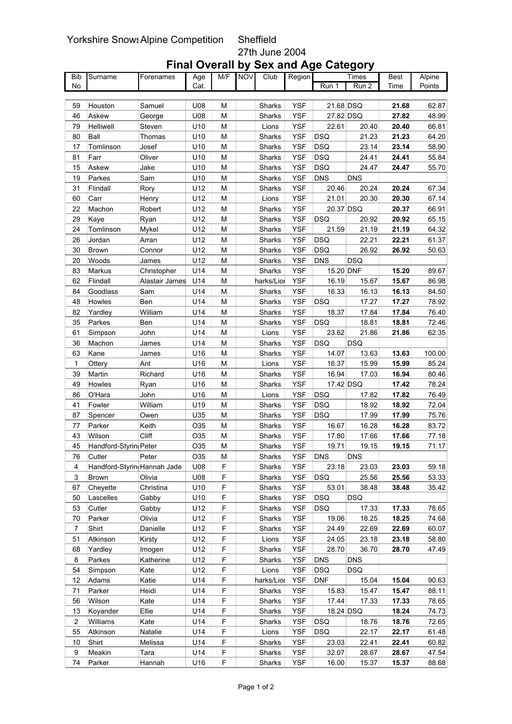### Yorkshire Snows Alpine Competition Sheffield 27th June 2004

| Bib            | Surname                     | Forenames      | Age  | M/F                                                                                                        | NOV | Club       | Region     |                    | Times        | <b>Best</b> | Alpine |
|----------------|-----------------------------|----------------|------|------------------------------------------------------------------------------------------------------------|-----|------------|------------|--------------------|--------------|-------------|--------|
| No             |                             |                | Cat. |                                                                                                            |     |            |            | $\overline{Run}$ 1 | Run 2        | Time        | Points |
|                |                             |                |      |                                                                                                            |     |            |            |                    |              |             |        |
| 59             | Houston                     | Samuel         | U08  | M                                                                                                          |     | Sharks     | <b>YSF</b> | 21.68 DSQ          |              | 21.68       | 62.87  |
| 46             | Askew                       | George         | U08  | М                                                                                                          |     | Sharks     | <b>YSF</b> | 27.82 DSQ          |              | 27.82       | 48.99  |
| 79             | Helliwell                   | Steven         | U10  | M                                                                                                          |     | Lions      | <b>YSF</b> | 22.61              | 20.40        | 20.40       | 66.81  |
| 80             | Ball                        | Thomas         | U10  | M                                                                                                          |     | Sharks     | <b>YSF</b> | <b>DSQ</b>         | 21.23        | 21.23       | 64.20  |
| 17             | Tomlinson                   | Josef          | U10  | M                                                                                                          |     | Sharks     | <b>YSF</b> | <b>DSQ</b>         | 23.14        | 23.14       | 58.90  |
| 81             | Farr                        | Oliver         | U10  | M                                                                                                          |     | Sharks     | <b>YSF</b> | <b>DSQ</b>         | 24.41        | 24.41       | 55.84  |
| 15             | Askew                       | Jake           | U10  | M                                                                                                          |     | Sharks     | <b>YSF</b> | <b>DSQ</b>         | 24.47        | 24.47       | 55.70  |
| 19             | Parkes                      | Sam            | U10  | M                                                                                                          |     | Sharks     | <b>YSF</b> | <b>DNS</b>         | <b>DNS</b>   |             |        |
| 31             | Flindall                    | Rory           | U12  | M                                                                                                          |     | Sharks     | <b>YSF</b> | 20.46              | 20.24        | 20.24       | 67.34  |
| 60             | Carr                        | Henry          | U12  | M                                                                                                          |     | Lions      | <b>YSF</b> | 21.01              | 20.30        | 20.30       | 67.14  |
| 22             | Machon                      | Robert         | U12  | M                                                                                                          |     | Sharks     | <b>YSF</b> | 20.37 DSQ          |              | 20.37       | 66.91  |
| 29             | Kaye                        | Ryan           | U12  | M                                                                                                          |     | Sharks     | <b>YSF</b> | <b>DSQ</b>         | 20.92        | 20.92       | 65.15  |
| 24             | Tomlinson                   | Mykel          | U12  | M                                                                                                          |     | Sharks     | <b>YSF</b> | 21.59              | 21.19        | 21.19       | 64.32  |
| 26             | Jordan                      | Arran          | U12  | M                                                                                                          |     | Sharks     | <b>YSF</b> | <b>DSQ</b>         | 22.21        | 22.21       | 61.37  |
| 30             | <b>Brown</b>                | Connor         | U12  | M                                                                                                          |     | Sharks     | <b>YSF</b> | <b>DSQ</b>         | 26.92        | 26.92       | 50.63  |
| 20             | Woods                       | James          | U12  | M                                                                                                          |     | Sharks     | <b>YSF</b> | <b>DNS</b>         | <b>DSQ</b>   |             |        |
| 83             | Markus                      | Christopher    | U14  | M                                                                                                          |     | Sharks     | <b>YSF</b> | 15.20 DNF          |              | 15.20       | 89.67  |
| 62             | Flindall                    | Alastair James | U14  | M                                                                                                          |     | harks/Lioi | <b>YSF</b> | 16.19              | 15.67        | 15.67       | 86.98  |
| 84             | Goodlass                    | Sam            | U14  | M                                                                                                          |     | Sharks     | <b>YSF</b> | 16.33              | 16.13        | 16.13       | 84.50  |
| 48             | Howles                      | Ben            | U14  | M                                                                                                          |     | Sharks     | <b>YSF</b> | <b>DSQ</b>         | 17.27        | 17.27       | 78.92  |
| 82             | Yardley                     | William        | U14  | M                                                                                                          |     | Sharks     | <b>YSF</b> | 18.37              | 17.84        | 17.84       | 76.40  |
| 35             | Parkes                      | Ben            | U14  | M                                                                                                          |     | Sharks     | <b>YSF</b> | <b>DSQ</b>         | 18.81        | 18.81       | 72.46  |
| 61             | Simpson                     | John           | U14  | M                                                                                                          |     | Lions      | <b>YSF</b> | 23.62              | 21.86        | 21.86       | 62.35  |
| 36             | Machon                      | James          | U14  | M                                                                                                          |     | Sharks     | <b>YSF</b> | <b>DSQ</b>         | <b>DSQ</b>   |             |        |
| 63             | Kane                        | James          | U16  | M                                                                                                          |     | Sharks     | <b>YSF</b> | 14.07              | 13.63        | 13.63       | 100.00 |
| $\mathbf{1}$   | Ottery                      | Ant            | U16  | M                                                                                                          |     | Lions      | <b>YSF</b> | 16.37              | 15.99        | 15.99       | 85.24  |
| 39             | Martin                      | Richard        | U16  | M                                                                                                          |     | Sharks     | <b>YSF</b> | 16.94              | 17.03        | 16.94       | 80.46  |
| 49             | Howles                      | Ryan           | U16  | M                                                                                                          |     | Sharks     | <b>YSF</b> | 17.42 DSQ          |              | 17.42       | 78.24  |
| 86             | O'Hara                      | John           | U16  | M                                                                                                          |     | Lions      | <b>YSF</b> | <b>DSQ</b>         | 17.82        | 17.82       | 76.49  |
| 41             | Fowler                      | William        | U19  | M                                                                                                          |     | Sharks     | <b>YSF</b> | <b>DSQ</b>         | 18.92        | 18.92       | 72.04  |
| 87             | Spencer                     | Owen           | U35  | M                                                                                                          |     | Sharks     | <b>YSF</b> | <b>DSQ</b>         | 17.99        | 17.99       | 75.76  |
| 77             | Parker                      | Keith          | O35  | M                                                                                                          |     | Sharks     | <b>YSF</b> | 16.67              | 16.28        | 16.28       | 83.72  |
| 43             | Wilson                      | Cliff          | O35  | M                                                                                                          |     | Sharks     | <b>YSF</b> | 17.80              | 17.66        | 17.66       | 77.18  |
| 45             | Handford-Styrin Peter       |                | O35  | M                                                                                                          |     | Sharks     | <b>YSF</b> | 19.71              | 19.15        | 19.15       | 71.17  |
| 76             | Cutler                      | Peter          | O35  | $\mathsf{M}% _{T}=\mathsf{M}_{T}\!\left( a,b\right) ,\ \mathsf{M}_{T}=\mathsf{M}_{T}\!\left( a,b\right) ,$ |     | Sharks     | YSF        | DNS                | <b>DNS</b>   |             |        |
| 4              | Handford-Styrin Hannah Jade |                | U08  | F                                                                                                          |     | Sharks     | <b>YSF</b> | 23.18              | 23.03        | 23.03       | 59.18  |
| 3              | Brown                       | Olivia         | U08  | F.                                                                                                         |     | Sharks     | YSF        | <b>DSQ</b>         | 25.56        | 25.56       | 53.33  |
| 67             | Cheyette                    | Christina      | U10  | F                                                                                                          |     |            | YSF        | 53.01              |              | 38.48       | 35.42  |
| 50             | Lascelles                   | Gabby          | U10  | F                                                                                                          |     | Sharks     | YSF        |                    | 38.48<br>DSQ |             |        |
|                |                             |                |      | F                                                                                                          |     | Sharks     |            | DSQ                |              |             | 78.65  |
| 53             | Cutler                      | Gabby          | U12  | F                                                                                                          |     | Sharks     | YSF        | <b>DSQ</b>         | 17.33        | 17.33       |        |
| 70             | Parker                      | Olivia         | U12  | F                                                                                                          |     | Sharks     | YSF        | 19.06              | 18.25        | 18.25       | 74.68  |
| $\overline{7}$ | Shirt                       | Danielle       | U12  |                                                                                                            |     | Sharks     | YSF        | 24.49              | 22.69        | 22.69       | 60.07  |
| 51             | Atkinson                    | Kirsty         | U12  | F                                                                                                          |     | Lions      | YSF        | 24.05              | 23.18        | 23.18       | 58.80  |
| 68             | Yardley                     | Imogen         | U12  | F.                                                                                                         |     | Sharks     | <b>YSF</b> | 28.70              | 36.70        | 28.70       | 47.49  |
| 8              | Parkes                      | Katherine      | U12  | F.                                                                                                         |     | Sharks     | YSF        | <b>DNS</b>         | <b>DNS</b>   |             |        |
| 54             | Simpson                     | Kate           | U12  | F.                                                                                                         |     | Lions      | YSF        | DSQ                | <b>DSQ</b>   |             |        |
| 12             | Adams                       | Katie          | U14  | F.                                                                                                         |     | harks/Lioi | <b>YSF</b> | <b>DNF</b>         | 15.04        | 15.04       | 90.63  |
| 71             | Parker                      | Heidi          | U14  | F.                                                                                                         |     | Sharks     | YSF        | 15.83              | 15.47        | 15.47       | 88.11  |
| 56             | Wilson                      | Kate           | U14  | F.                                                                                                         |     | Sharks     | YSF        | 17.44              | 17.33        | 17.33       | 78.65  |
| 13             | Koyander                    | Ellie          | U14  | F.                                                                                                         |     | Sharks     | YSF        | 18.24 DSQ          |              | 18.24       | 74.73  |
| $\overline{2}$ | Williams                    | Kate           | U14  | F.                                                                                                         |     | Sharks     | YSF        | DSQ                | 18.76        | 18.76       | 72.65  |
| 55             | Atkinson                    | Natalie        | U14  | F.                                                                                                         |     | Lions      | YSF        | DSQ                | 22.17        | 22.17       | 61.48  |
| 10             | Shirt                       | Melissa        | U14  | F.                                                                                                         |     | Sharks     | YSF        | 23.03              | 22.41        | 22.41       | 60.82  |
| 9              | Meakin                      | Tara           | U14  | F.                                                                                                         |     | Sharks     | YSF        | 32.07              | 28.67        | 28.67       | 47.54  |
| 74             | Parker                      | Hannah         | U16  | F                                                                                                          |     | Sharks     | YSF        | 16.00              | 15.37        | 15.37       | 88.68  |

### **Final Overall by Sex and Age Category**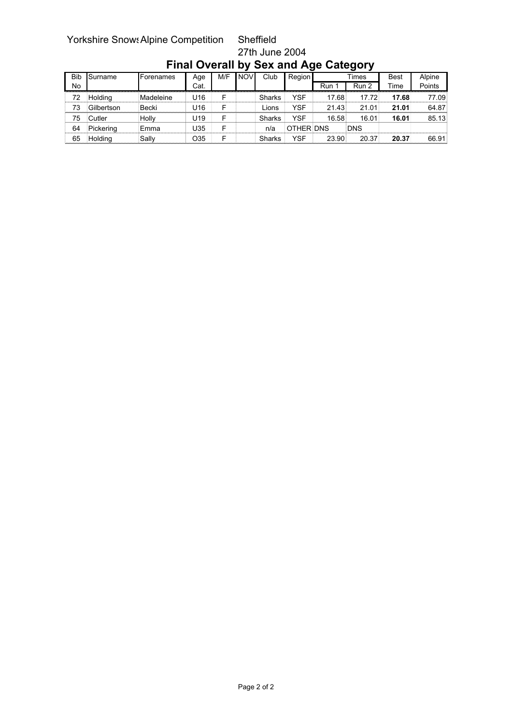# Yorkshire Snows Alpine Competition Sheffield

## 27th June 2004

|            |                |                   |      |     |            |               | ີ         |            | ັ          |             |        |
|------------|----------------|-------------------|------|-----|------------|---------------|-----------|------------|------------|-------------|--------|
| <b>Bib</b> | Surname        | <b>IForenames</b> | Age  | M/F | <b>NOV</b> | Club          | Region    |            | Times      | <b>Best</b> | Alpine |
| No         |                |                   | Cat. |     |            |               |           | <b>Run</b> | Run 2      | Time        | Points |
| 72         | <b>Holdina</b> | Madeleine         | U16  |     |            | <b>Sharks</b> | YSF       | 17.68      | 17.72      | 17.68       | 77.09  |
| 73         | Gilbertson     | Becki             | U16  |     |            | _ions         | YSF       | 21.43      | 21.01      | 21.01       | 64.87  |
| 75         | <b>Cutler</b>  | Holly             | U19  |     |            | Sharks        | YSF       | 16.58      | 16.01      | 16.01       | 85.13  |
| 64         | Pickerina      | Emma              | J35  |     |            | n/a           | OTHER DNS |            | <b>DNS</b> |             |        |
| 65         | Holdina        | Sallv             | O35  |     |            | Sharks        | YSF       | 23.90      | 20.37      | 20.37       | 66.91  |

### **Final Overall by Sex and Age Category**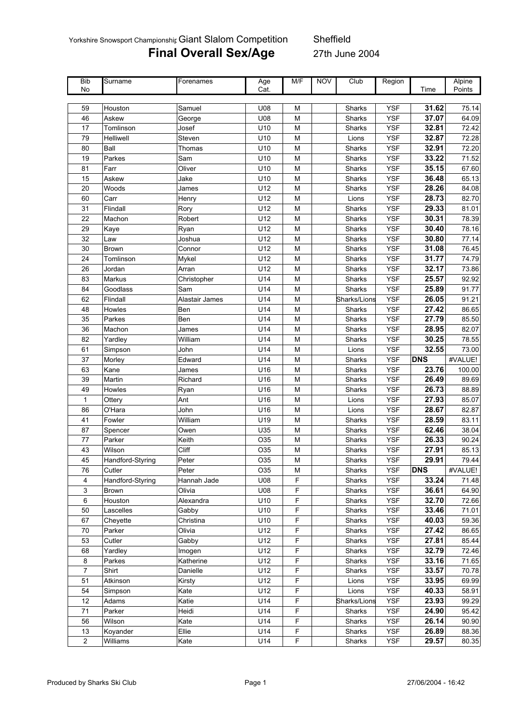Yorkshire Snowsport Championshir Giant Slalom Competition Sheffield

# **Final Overall Sex/Age** 27th June 2004

| <b>Bib</b>     | Surname          | Forenames      | Age  | M/F                                                                                   | <b>NOV</b> | Club          | Region     |            | Alpine  |
|----------------|------------------|----------------|------|---------------------------------------------------------------------------------------|------------|---------------|------------|------------|---------|
| No             |                  |                | Cat. |                                                                                       |            |               |            | Time       | Points  |
|                |                  |                |      |                                                                                       |            |               |            |            |         |
| 59             | Houston          | Samuel         | U08  | М                                                                                     |            | Sharks        | <b>YSF</b> | 31.62      | 75.14   |
| 46             | Askew            | George         | U08  | M                                                                                     |            | Sharks        | <b>YSF</b> | 37.07      | 64.09   |
| 17             | Tomlinson        | Josef          | U10  | M                                                                                     |            | Sharks        | <b>YSF</b> | 32.81      | 72.42   |
| 79             | Helliwell        | Steven         | U10  | M                                                                                     |            | Lions         | <b>YSF</b> | 32.87      | 72.28   |
| 80             | Ball             | Thomas         | U10  | M                                                                                     |            | Sharks        | <b>YSF</b> | 32.91      | 72.20   |
| 19             | Parkes           | Sam            | U10  | M                                                                                     |            | Sharks        | <b>YSF</b> | 33.22      | 71.52   |
| 81             | Farr             | Oliver         | U10  | M                                                                                     |            | Sharks        | <b>YSF</b> | 35.15      | 67.60   |
| 15             | Askew            | Jake           | U10  | ${\sf M}$                                                                             |            | Sharks        | <b>YSF</b> | 36.48      | 65.13   |
| 20             | Woods            | James          | U12  | M                                                                                     |            | Sharks        | <b>YSF</b> | 28.26      | 84.08   |
| 60             | Carr             | Henry          | U12  | M                                                                                     |            | Lions         | <b>YSF</b> | 28.73      | 82.70   |
| 31             | Flindall         | Rory           | U12  | M                                                                                     |            | Sharks        | <b>YSF</b> | 29.33      | 81.01   |
| 22             | Machon           | Robert         | U12  | M                                                                                     |            | Sharks        | <b>YSF</b> | 30.31      | 78.39   |
| 29             | Kaye             | Ryan           | U12  | M                                                                                     |            | Sharks        | <b>YSF</b> | 30.40      | 78.16   |
| 32             | Law              | Joshua         | U12  | M                                                                                     |            | Sharks        | <b>YSF</b> | 30.80      | 77.14   |
| 30             | <b>Brown</b>     | Connor         | U12  | M                                                                                     |            | Sharks        | <b>YSF</b> | 31.08      | 76.45   |
| 24             | Tomlinson        | Mykel          | U12  | M                                                                                     |            | Sharks        | <b>YSF</b> | 31.77      | 74.79   |
| 26             | Jordan           | Arran          | U12  | M                                                                                     |            | Sharks        | <b>YSF</b> | 32.17      | 73.86   |
| 83             | Markus           | Christopher    | U14  | ${\sf M}$                                                                             |            | Sharks        | <b>YSF</b> | 25.57      | 92.92   |
| 84             | Goodlass         | Sam            | U14  | $\mathsf{M}% _{T}=\mathsf{M}_{T}\!\left( a,b\right) ,\ \mathsf{M}_{T}=\mathsf{M}_{T}$ |            | Sharks        | <b>YSF</b> | 25.89      | 91.77   |
| 62             | Flindall         | Alastair James | U14  | ${\sf M}$                                                                             |            | Sharks/Lions  | <b>YSF</b> | 26.05      | 91.21   |
| 48             | Howles           | Ben            | U14  | M                                                                                     |            | Sharks        | <b>YSF</b> | 27.42      | 86.65   |
| 35             | Parkes           | Ben            | U14  | M                                                                                     |            | Sharks        | <b>YSF</b> | 27.79      | 85.50   |
| 36             | Machon           | James          | U14  | M                                                                                     |            | Sharks        | <b>YSF</b> | 28.95      | 82.07   |
| 82             | Yardley          | William        | U14  | М                                                                                     |            | Sharks        | <b>YSF</b> | 30.25      | 78.55   |
| 61             | Simpson          | John           | U14  | M                                                                                     |            | Lions         | <b>YSF</b> | 32.55      | 73.00   |
| 37             | Morley           | Edward         | U14  | M                                                                                     |            | Sharks        | <b>YSF</b> | <b>DNS</b> | #VALUE! |
| 63             | Kane             | James          | U16  | M                                                                                     |            | Sharks        | <b>YSF</b> | 23.76      | 100.00  |
| 39             | Martin           | Richard        | U16  | ${\sf M}$                                                                             |            | Sharks        | <b>YSF</b> | 26.49      | 89.69   |
| 49             | Howles           | Ryan           | U16  | M                                                                                     |            | <b>Sharks</b> | <b>YSF</b> | 26.73      | 88.89   |
| $\mathbf{1}$   | Ottery           | Ant            | U16  | M                                                                                     |            | Lions         | <b>YSF</b> | 27.93      | 85.07   |
| 86             | O'Hara           | John           | U16  | M                                                                                     |            | Lions         | <b>YSF</b> | 28.67      | 82.87   |
| 41             | Fowler           | William        | U19  | M                                                                                     |            | Sharks        | <b>YSF</b> | 28.59      | 83.11   |
| 87             | Spencer          | Owen           | U35  | M                                                                                     |            | Sharks        | <b>YSF</b> | 62.46      | 38.04   |
| 77             | Parker           | Keith          | O35  | M                                                                                     |            | Sharks        | <b>YSF</b> | 26.33      | 90.24   |
| 43             | Wilson           | Cliff          | O35  | M                                                                                     |            | Sharks        | <b>YSF</b> | 27.91      | 85.13   |
| 45             | Handford-Styring | Peter          | O35  | M                                                                                     |            | Sharks        | <b>YSF</b> | 29.91      | 79.44   |
| 76             | Cutler           | Peter          | O35  | М                                                                                     |            | Sharks        | <b>YSF</b> | <b>DNS</b> | #VALUE! |
| 4              | Handford-Styring | Hannah Jade    | U08  | $\mathsf F$                                                                           |            | Sharks        | <b>YSF</b> | 33.24      | 71.48   |
| 3              | <b>Brown</b>     | Olivia         | U08  | $\mathsf F$                                                                           |            | Sharks        | <b>YSF</b> | 36.61      | 64.90   |
| 6              | Houston          | Alexandra      | U10  | $\mathsf F$                                                                           |            | Sharks        | <b>YSF</b> | 32.70      | 72.66   |
| 50             | Lascelles        | Gabby          | U10  | F                                                                                     |            | Sharks        | <b>YSF</b> | 33.46      | 71.01   |
| 67             | Cheyette         | Christina      | U10  | F                                                                                     |            | Sharks        | <b>YSF</b> | 40.03      | 59.36   |
| 70             | Parker           | Olivia         | U12  | F                                                                                     |            | Sharks        | <b>YSF</b> | 27.42      | 86.65   |
| 53             | Cutler           | Gabby          | U12  | $\mathsf F$                                                                           |            | Sharks        | <b>YSF</b> | 27.81      | 85.44   |
| 68             | Yardley          | Imogen         | U12  | $\mathsf F$                                                                           |            | Sharks        | <b>YSF</b> | 32.79      | 72.46   |
| 8              | Parkes           | Katherine      | U12  | $\mathsf F$                                                                           |            | Sharks        | YSF        | 33.16      | 71.65   |
| $\overline{7}$ | Shirt            | Danielle       | U12  | $\mathsf F$                                                                           |            | Sharks        | <b>YSF</b> | 33.57      | 70.78   |
| 51             | Atkinson         | Kirsty         | U12  | $\mathsf F$                                                                           |            | Lions         | <b>YSF</b> | 33.95      | 69.99   |
| 54             | Simpson          | Kate           | U12  | F                                                                                     |            | Lions         | <b>YSF</b> | 40.33      | 58.91   |
| 12             | Adams            | Katie          | U14  | F                                                                                     |            | Sharks/Lions  | <b>YSF</b> | 23.93      | 99.29   |
| 71             | Parker           | Heidi          | U14  | F                                                                                     |            | Sharks        | <b>YSF</b> | 24.90      | 95.42   |
| 56             | Wilson           | Kate           | U14  | F                                                                                     |            | Sharks        | <b>YSF</b> | 26.14      | 90.90   |
| 13             | Koyander         | Ellie          | U14  | $\mathsf F$                                                                           |            | Sharks        | <b>YSF</b> | 26.89      | 88.36   |
| $\overline{c}$ | Williams         | Kate           | U14  | $\mathsf F$                                                                           |            | Sharks        | <b>YSF</b> | 29.57      | 80.35   |
|                |                  |                |      |                                                                                       |            |               |            |            |         |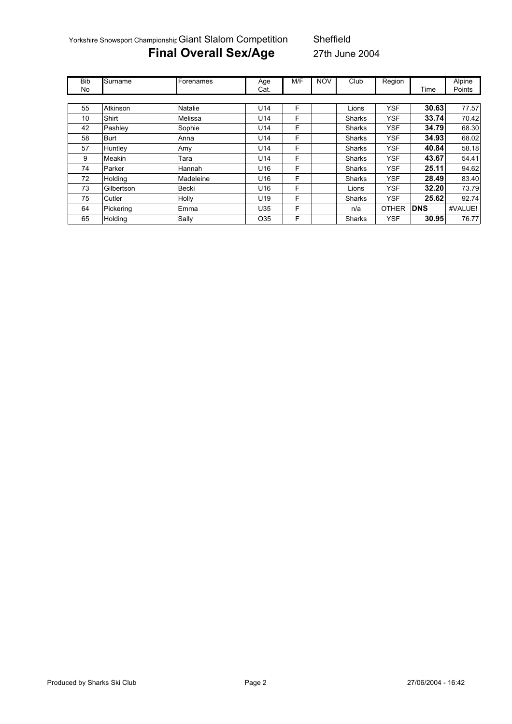Yorkshire Snowsport Championshir Giant Slalom Competition Sheffield

# **Final Overall Sex/Age** 27th June 2004

| <b>Bib</b> | Surname     | Forenames | Age             | M/F | <b>NOV</b> | Club          | Region       |            | <b>Alpine</b> |
|------------|-------------|-----------|-----------------|-----|------------|---------------|--------------|------------|---------------|
| No         |             |           | Cat.            |     |            |               |              | Time       | Points        |
|            |             |           |                 |     |            |               |              |            |               |
| 55         | Atkinson    | Natalie   | U <sub>14</sub> | F   |            | Lions         | <b>YSF</b>   | 30.63      | 77.57         |
| 10         | Shirt       | Melissa   | U14             | F   |            | <b>Sharks</b> | <b>YSF</b>   | 33.74      | 70.42         |
| 42         | Pashley     | Sophie    | U14             | F   |            | <b>Sharks</b> | <b>YSF</b>   | 34.79      | 68.30         |
| 58         | <b>Burt</b> | Anna      | U <sub>14</sub> | F   |            | <b>Sharks</b> | <b>YSF</b>   | 34.93      | 68.02         |
| 57         | Huntley     | Amy       | U14             | F   |            | <b>Sharks</b> | <b>YSF</b>   | 40.84      | 58.18         |
| 9          | Meakin      | Tara      | U14             | F   |            | <b>Sharks</b> | <b>YSF</b>   | 43.67      | 54.41         |
| 74         | Parker      | Hannah    | U16             | F   |            | <b>Sharks</b> | <b>YSF</b>   | 25.11      | 94.62         |
| 72         | Holding     | Madeleine | U16             | F   |            | Sharks        | <b>YSF</b>   | 28.49      | 83.40         |
| 73         | Gilbertson  | Becki     | U16             | F   |            | Lions         | <b>YSF</b>   | 32.20      | 73.79         |
| 75         | Cutler      | Holly     | U19             | F   |            | <b>Sharks</b> | <b>YSF</b>   | 25.62      | 92.74         |
| 64         | Pickering   | Emma      | U35             | F   |            | n/a           | <b>OTHER</b> | <b>DNS</b> | #VALUE!       |
| 65         | Holding     | Sally     | O <sub>35</sub> | F   |            | Sharks        | <b>YSF</b>   | 30.95      | 76.77         |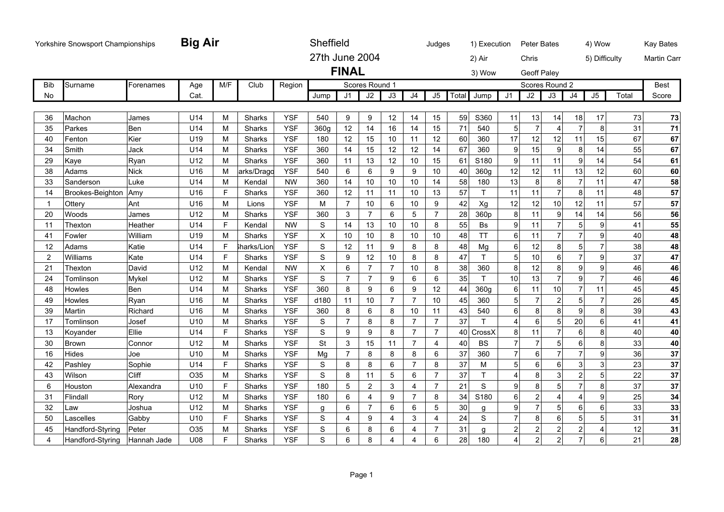|                | Yorkshire Snowsport Championships |             | <b>Big Air</b>  |     |               |            | Sheffield      |                |                |                 |                 | Judges         |                 | 1) Execution                  | <b>Peter Bates</b> |                |                | 4) Wow         |       | <b>Kay Bates</b>   |
|----------------|-----------------------------------|-------------|-----------------|-----|---------------|------------|----------------|----------------|----------------|-----------------|-----------------|----------------|-----------------|-------------------------------|--------------------|----------------|----------------|----------------|-------|--------------------|
|                |                                   |             |                 |     |               |            | 27th June 2004 |                |                |                 |                 |                | 2) Air          |                               | Chris              |                |                | 5) Difficulty  |       | <b>Martin Carr</b> |
|                |                                   |             |                 |     |               |            |                | <b>FINAL</b>   |                |                 |                 |                | 3) Wow          |                               | <b>Geoff Paley</b> |                |                |                |       |                    |
| <b>Bib</b>     | Surname                           | Forenames   | Age             | M/F | Club          | Region     |                |                | Scores Round 1 |                 |                 |                |                 |                               | Scores Round 2     |                |                |                |       | <b>Best</b>        |
| No             |                                   |             | Cat.            |     |               |            | Jump           | J <sub>1</sub> | J2             | $\overline{J3}$ | $\overline{J4}$ | J5             | Total<br>Jump   | J <sub>1</sub>                | $\overline{J2}$    | J3             | J4             | J5             | Total | Score              |
| 36             | Machon                            | James       | U14             | M   | <b>Sharks</b> | <b>YSF</b> | 540            | 9              | 9              | 12              | 14              | 15             | 59<br>S360      | 11                            | 13                 | 14             | 18             | 17             | 73    | 73                 |
| 35             | Parkes                            | Ben         | U14             | M   | <b>Sharks</b> | <b>YSF</b> | 360g           | 12             | 14             | 16              | 14              | 15             | 71<br>540       | 5                             | $\overline{7}$     | $\overline{4}$ | $\overline{7}$ | 8              | 31    | 71                 |
| 40             | Fenton                            | Kier        | U19             | M   | Sharks        | <b>YSF</b> | 180            | 12             | 15             | 10              | 11              | 12             | 60<br>360       | 17                            | 12                 | 12             | 11             | 15             | 67    | 67                 |
| 34             | Smith                             | Jack        | U14             | M   | Sharks        | <b>YSF</b> | 360            | 14             | 15             | 12              | 12              | 14             | 67<br>360       | 9                             | 15                 | 9              | 8              | 14             | 55    | 67                 |
| 29             | Kaye                              | Ryan        | U12             | M   | Sharks        | <b>YSF</b> | 360            | 11             | 13             | 12              | 10              | 15             | S180<br>61      | 9                             | 11                 | 11             | 9              | 14             | 54    | 61                 |
| 38             | Adams                             | <b>Nick</b> | U <sub>16</sub> | M   | arks/Dragd    | <b>YSF</b> | 540            | 6              | 6              | 9               | 9               | 10             | 40<br>360g      | 12                            | 12                 | 11             | 13             | 12             | 60    | 60                 |
| 33             | Sanderson                         | Luke        | U14             | M   | Kendal        | <b>NW</b>  | 360            | 14             | 10             | 10              | 10              | 14             | 58<br>180       | 13                            | 8                  | 8              | $\overline{7}$ | 11             | 47    | 58                 |
| 14             | Brookes-Beighton                  | Amy         | U16             | F   | Sharks        | <b>YSF</b> | 360            | 12             | 11             | 11              | 10              | 13             | 57<br>T.        | 11                            | 11                 | $\overline{7}$ | 8              | 11             | 48    | 57                 |
| $\mathbf{1}$   | Ottery                            | Ant         | U16             | M   | Lions         | <b>YSF</b> | M              | $\overline{7}$ | 10             | 6               | 10              | 9              | 42<br>Xg        | 12                            | 12                 | 10             | 12             | 11             | 57    | 57                 |
| 20             | Woods                             | James       | U12             | M   | Sharks        | <b>YSF</b> | 360            | 3              | $\overline{7}$ | 6               | 5               | $\overline{7}$ | 28<br>360p      | 8                             | 11                 | 9              | 14             | 14             | 56    | 56                 |
| 11             | Thexton                           | Heather     | U14             | F   | Kendal        | <b>NW</b>  | S              | 14             | 13             | 10              | 10              | 8              | 55<br>Bs        | 9                             | 11                 | $\overline{7}$ | 5              | 9              | 41    | 55                 |
| 41             | Fowler                            | William     | U <sub>19</sub> | M   | Sharks        | <b>YSF</b> | X              | 10             | 10             | 8               | $10$            | 10             | <b>TT</b><br>48 | 6                             | 11                 | $\overline{7}$ | $\overline{7}$ | 9              | 40    | 48                 |
| 12             | Adams                             | Katie       | U14             | E   | harks/Lion    | <b>YSF</b> | S              | 12             | 11             | 9               | 8               | 8              | Mg<br>48        | 6                             | 12                 | 8              | 5              | $\overline{7}$ | 38    | 48                 |
| $\overline{2}$ | Williams                          | Kate        | U14             | F   | Sharks        | <b>YSF</b> | S              | 9              | 12             | 10              | 8               | 8              | T<br>47         | 5                             | 10                 | 6              | 7              | 9              | 37    | 47                 |
| 21             | Thexton                           | David       | U <sub>12</sub> | M   | Kendal        | <b>NW</b>  | X              | 6              | $\overline{7}$ | $\overline{7}$  | 10              | 8              | 38<br>360       | 8                             | 12                 | 8              | 9              | 9              | 46    | 46                 |
| 24             | Tomlinson                         | Mykel       | U <sub>12</sub> | M   | Sharks        | <b>YSF</b> | S              | $\overline{7}$ | $\overline{7}$ | 9               | 6               | 6              | 35<br>T.        | 10                            | 13                 | $\overline{7}$ | 9              | $\overline{7}$ | 46    | 46                 |
| 48             | Howles                            | Ben         | U14             | M   | Sharks        | <b>YSF</b> | 360            | 8              | 9              | 6               | 9               | 12             | 44<br>360g      | 6                             | 11                 | 10             | $\overline{7}$ | 11             | 45    | 45                 |
| 49             | Howles                            | Ryan        | U <sub>16</sub> | M   | Sharks        | <b>YSF</b> | d180           | 11             | 10             | $\overline{7}$  | $\overline{7}$  | 10             | 360<br>45       | 5                             | $\overline{7}$     | $\overline{2}$ | 5              | $\overline{7}$ | 26    | 45                 |
| 39             | Martin                            | Richard     | U <sub>16</sub> | M   | Sharks        | <b>YSF</b> | 360            | 8              | 6              | 8               | 10              | 11             | 540<br>43       | 6                             | 8                  | 8              | 9              | 8              | 39    | 43                 |
| 17             | Tomlinson                         | Josef       | U <sub>10</sub> | M   | Sharks        | <b>YSF</b> | S              | $\overline{7}$ | 8              | 8               | $\overline{7}$  | $\overline{7}$ | 37              | $\boldsymbol{\Lambda}$        | 6                  | 5              | 20             | 6              | 41    | 41                 |
| 13             | Koyander                          | Ellie       | U14             | F   | Sharks        | <b>YSF</b> | S              | 9              | 9              | 8               | $\overline{7}$  | $\overline{7}$ | 40<br>CrossX    | 8                             | 11                 | $\overline{7}$ | 6              | 8              | 40    | 40                 |
| 30             | <b>Brown</b>                      | Connor      | U <sub>12</sub> | M   | Sharks        | <b>YSF</b> | <b>St</b>      | 3              | 15             | 11              | $\overline{7}$  | $\overline{4}$ | 40<br><b>BS</b> | $\overline{7}$                | $\overline{7}$     | 5              | 6              | 8              | 33    | 40                 |
| 16             | Hides                             | Joe         | U <sub>10</sub> | M   | Sharks        | <b>YSF</b> | Mg             | $\overline{7}$ | 8              | 8               | 8               | 6              | 37<br>360       | $\overline{7}$                | 6                  | $\overline{7}$ | 7              | 9              | 36    | 37                 |
| 42             | Pashley                           | Sophie      | U14             | F   | Sharks        | <b>YSF</b> | S              | 8              | 8              | 6               | $\overline{7}$  | 8              | 37<br>M         | 5                             | 6                  | 6              | 3              | 3              | 23    | 37                 |
| 43             | Wilson                            | Cliff       | O35             | M   | Sharks        | <b>YSF</b> | S              | 8              | 11             | 5               | 6               | $\overline{7}$ | 37<br>T         | 4                             | 8                  | 3              | $\overline{c}$ | 5              | 22    | 37                 |
| 6              | Houston                           | Alexandra   | U <sub>10</sub> | F   | Sharks        | <b>YSF</b> | 180            | 5              | 2              | 3               | 4               | $\overline{7}$ | 21              | S<br>9                        | 8                  | 5              | $\overline{7}$ | 8              | 37    | 37                 |
| 31             | Flindall                          | Rory        | U12             | M   | Sharks        | <b>YSF</b> | 180            | 6              | 4              | 9               | $\overline{7}$  | 8              | 34<br>S180      | 6                             | $\overline{c}$     | $\overline{A}$ | 4              | 9              | 25    | 34                 |
| 32             | Law                               | Joshua      | U <sub>12</sub> | M   | <b>Sharks</b> | <b>YSF</b> | g              | 6              | $\overline{7}$ | 6               | 6               | 5              | 30<br>g         | 9                             | $\overline{7}$     | 5              | 6              | 6              | 33    | 33                 |
| 50             | Lascelles                         | Gabby       | U <sub>10</sub> | F   | Sharks        | <b>YSF</b> | S              | $\overline{4}$ | 9              | $\overline{4}$  | 3               | 4              | 24              | $\overline{7}$<br>$\mathbb S$ | 8                  | 6              | 5              | 5              | 31    | 31                 |
| 45             | Handford-Styring                  | Peter       | O35             | M   | Sharks        | <b>YSF</b> | S              | 6              | 8              | 6               | 4               | 7              | 31<br>q         | $\overline{2}$                | $\overline{c}$     | $\overline{2}$ | $\overline{c}$ | 4              | 12    | 31                 |
| 4              | Handford-Styring                  | Hannah Jade | U08             | F   | Sharks        | <b>YSF</b> | S              | 6              | 8              | $\overline{4}$  | 4               | 6              | 28<br>180       | $\overline{4}$                | $\overline{2}$     | $\overline{2}$ | $\overline{7}$ | 6              | 21    | 28                 |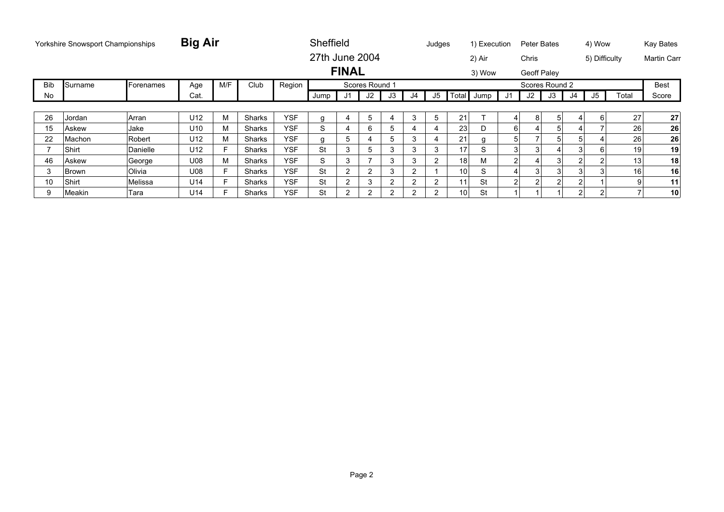|            | Yorkshire Snowsport Championships |               | <b>Big Air</b>  |     |        |            | Sheffield      |              |                |                |    | Judges         |                 | 1) Execution |    | Peter Bates        |    |    | 4) Wow        |       | Kay Bates          |
|------------|-----------------------------------|---------------|-----------------|-----|--------|------------|----------------|--------------|----------------|----------------|----|----------------|-----------------|--------------|----|--------------------|----|----|---------------|-------|--------------------|
|            |                                   |               |                 |     |        |            | 27th June 2004 |              |                |                |    |                |                 | 2) Air       |    | Chris              |    |    | 5) Difficulty |       | <b>Martin Carr</b> |
|            |                                   |               |                 |     |        |            |                | <b>FINAL</b> |                |                |    |                |                 | 3) Wow       |    | <b>Geoff Paley</b> |    |    |               |       |                    |
| <b>Bib</b> | Surname                           | Forenames     | Age             | M/F | Club   | Region     |                |              | Scores Round 1 |                |    |                |                 |              |    | Scores Round 2     |    |    |               |       | <b>Best</b>        |
| No         |                                   |               | Cat.            |     |        |            | Jump           | J1           | J2             | J3             | J4 | J5             |                 | Total Jump   | J1 | J2                 | J3 | J4 | J5            | Total | Score              |
|            |                                   |               |                 |     |        |            |                |              |                |                |    |                |                 |              |    |                    |    |    |               |       |                    |
| 26         | Jordan                            | Arran         | U12             | M   | Sharks | <b>YSF</b> | g              | 4            | 5              | 4              | 3  | 5              | 21              |              | 4  | 8                  | 5  | 4  | 6             | 27    | 27                 |
| 15         | Askew                             | Jake          | U <sub>10</sub> | М   | Sharks | <b>YSF</b> | S              | 4            | 6              | 5              |    | 4              | 23              |              | 6  |                    | 5  |    |               | 26    | 26                 |
| 22         | Machon                            | Robert        | U12             | М   | Sharks | <b>YSF</b> | q              | 5            |                | 5              | 3  | 4              | 21              |              | 5  |                    | 5  | 5  | 4             | 26    | 26                 |
|            | Shirt                             | Danielle      | U12             | F   | Sharks | <b>YSF</b> | <b>St</b>      | 3            | b.             | 3              | 3  | 3              | 17              | S            |    | 3                  | 4  | 3  | 6             | 19    | 19                 |
| 46         | Askew                             | George        | U08             | М   | Sharks | <b>YSF</b> | S              | 3            |                | 3              | 3  | $\overline{2}$ | 18 <sub>1</sub> | М            | 2  | 4                  | 3  | 2  | 2             | 13    | 18                 |
| 3          | Brown                             | <b>Olivia</b> | U08             | F   | Sharks | <b>YSF</b> | <b>St</b>      | 2            |                | 3              | 2  |                | 10              | S            |    |                    | 3  | 3  |               | 16    | 16                 |
| 10         | Shirt                             | Melissa       | U14             | F   | Sharks | <b>YSF</b> | <b>St</b>      | 2            | 3              | $\overline{2}$ | 2  | 2              | 11              | St           | 2  | $\overline{2}$     | 2  | 2  |               |       | 11                 |
| 9          | Meakin                            | Tara          | U14             | Е   | Sharks | <b>YSF</b> | <b>St</b>      | 2            | 2              | $\overline{2}$ |    | 2              | 10 <sup>1</sup> | St           |    |                    |    | 2  | 2             |       | 10                 |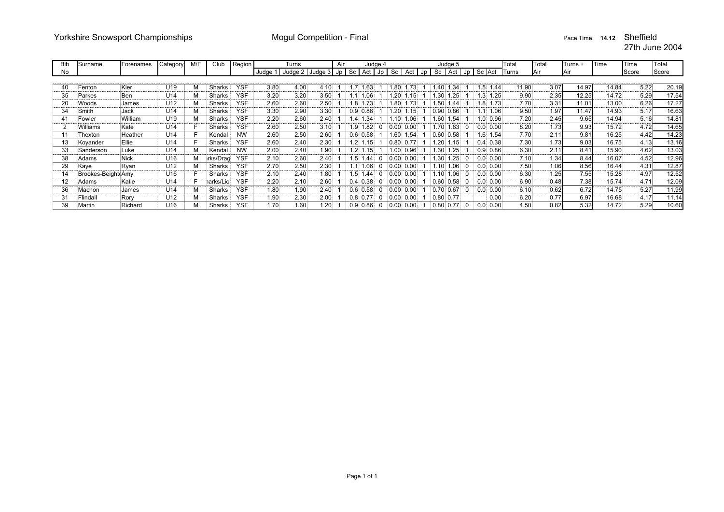| Bib | Surname            | Forenames | Category        | M/F | Club      | Region     |          | Turns                 |      | Air |                                   | Judge 4          |                  |              |      |                   | Judge 5   |      |              |          | Total | Total    | Turns +    | Time  | Time      | Total |
|-----|--------------------|-----------|-----------------|-----|-----------|------------|----------|-----------------------|------|-----|-----------------------------------|------------------|------------------|--------------|------|-------------------|-----------|------|--------------|----------|-------|----------|------------|-------|-----------|-------|
| No  |                    |           |                 |     |           |            | Judge    | Judge 2 Judge 3 Jp Sc |      |     | Act                               | Jp               |                  | Sc Act       | l Jp | Sc                | Act       | JD I | Sc Act       |          | Turns | Air      | <b>Air</b> |       | Score     | Score |
|     |                    |           |                 |     |           |            |          |                       |      |     |                                   |                  |                  |              |      |                   |           |      |              |          |       |          |            |       |           |       |
| 40  | Fenton             | Kier      | U19             |     | Sharks    | <b>YSF</b> | 3.80     | 4.00<br>.             | 4.10 |     | .63<br>171                        |                  | .80              |              |      | 1.40              | .34       |      | ī.5.         | 1.44     | 11.90 | 3.07<br> | 14.97      | 14.84 | 5.22      | 20.19 |
| 35  | Parkes             | :Ben      | U14             |     | Sharks    | <b>YSF</b> | 3.20     | 3.20                  | 3.50 |     | 1.06 <sub>1</sub>                 |                  | .20 <sub>1</sub> |              |      |                   | 1.30 1.25 |      |              | 1.3 1.25 | 9.90  | 2.35     | 12.25      | 14.72 | 5.29      | 17.54 |
| 20  | Woods              | James     | U12             |     | Sharks    | <b>YSF</b> | 2.60     | 2.60                  | 2.50 |     | 1.73 <sup>°</sup><br>$.8^{\circ}$ |                  | .80%             |              |      | 1.50 <sup>°</sup> | 1.44      |      |              | 1.8 1.73 | 7.70  | 3.31     | 11.01      | 13.00 | 6.26      | 17.27 |
| 34  | Smith              | Jack      | U14             |     | Sharks    | <b>YSF</b> | 3.30     | 2.90                  | 3.30 |     | 0.86<br>$0.9^{\circ}$             |                  | .20 <sub>1</sub> |              |      | 0.90              | 0.86      |      |              | 1.06     | 9.50  | 1.97     | 11.47      | 14.93 | 5.17      | 16.63 |
| 41  | Fowler             | William   | U <sub>19</sub> |     | Sharks    | <b>YSF</b> | 2.20     | 2.60                  | 2.40 |     |                                   | .34              | .10.             | 06.          |      | 1.60              | .54       |      |              | 1.0 0.96 | 7.20  | 2.45     | 9.65       | 14.94 | 5.16      | 14.81 |
|     | Williams           | Kate      | U14             |     | Sharks    | <b>YSF</b> | 2.60     | 2.50                  | 3.10 |     | !9.                               | .82 <sub>1</sub> |                  | $0.00$ 0.00  |      | 1.70 <sub>1</sub> | .63       |      | $0.0$ 0.00   |          | 8.20  | 1.73     | 9.93       | 15.72 | 4.72      | 14.65 |
|     | Thexton            | Heather   | U14             |     | Kendal    | <b>NW</b>  | 2.60     | 2.50                  | 2.60 |     | 0.58<br>0.61                      |                  | .60 <sub>1</sub> | 1.54         |      | 0.60              | 0.58      |      |              | 1.6 1.54 | 7.70  | 2.11     | 9.81       | 16.25 | 4.42<br>. | 14.23 |
| 13  | Koyander           | Ellie     | U14             |     | Sharks    | <b>YSF</b> | 2.60     | 2.40                  | 2.30 |     | $1.2^+$<br>1.15                   |                  |                  | $0.80$ 0.77  |      | .20 <sub>1</sub>  | .15       |      | $0.4$ 0.38   |          | 7.30  | 1.73     | 9.03       | 16.75 | 4.13      | 13.16 |
| 33  | Sanderson          | Luke      | U14             |     | Kendal    | <b>NW</b>  | 2.00     | 2.40                  | 1.90 |     | $.2 \, 1.15$                      |                  |                  | $.00\,$ 0.96 |      | 1.30              | 1.25      |      | $0.9 \ 0.86$ |          | 6.30  | 2.11     | 8.41       | 15.90 | 4.62      | 13.03 |
| 38  | Adams              | Nick      | U <sub>16</sub> |     | irks/Draq | <b>YSF</b> | 2.10     | 2.60                  | 2.40 |     | .44                               |                  | $0.00 \ 0.00$    |              |      | 1.30 <sub>1</sub> | 1.25      |      | 0.0 0.00     |          | 7.10  | 1.34     | 8.44       | 16.07 | 4.52      | 12.96 |
| 29  | Kaye               | Ryan      | U12             |     | Sharks    | <b>YSF</b> | 2.70     | 2.50                  | 2.30 |     |                                   | .06 <sub>1</sub> | $0.00$ 0.00      |              |      | 1.10              | 1.06      |      | $0.0\ 0.00$  |          | 7.50  | 1.06     | 8.56       | 16.44 | 4.31      | 12.87 |
| 14  | Brookes-Beight Amy |           | U16             |     | Sharks    | <b>YSF</b> | 2.10     | 2.40                  | 1.80 |     | 5⊧<br>1.44                        | 0                | $0.00$ 0.00      |              |      | 1.10              | .06       |      | $0.0$ 0.00   |          | 6.30  | 1.25     | 7.55       | 15.28 | 4.97      | 12.52 |
| 12  | Adams              | Katie     | U14             |     | າarks/Lio | <b>YSF</b> | 2.20     | 2.10                  | 2.60 |     | $0.4 \, 0.38$                     |                  | $0.00$ $0.00$    |              |      | 0.60              | 0.58      |      | $0.0 \ 0.00$ |          | 6.90  | 0.48<br> | 7.38       | 15.74 | 4.71<br>. | 12.09 |
| 36  | Machon             | James     | U14             |     | Sharks    | <b>YSF</b> | 1.80     | 1.90                  | 2.40 |     | $0.6 \ 0.58$                      |                  | $0.00$ 0.00      |              |      | 0.70              | 0.67      |      | 0.0 0.00     |          | 6.10  | 0.62     | 6.72       | 14.75 | 5.27      | 11.99 |
| 31  | Flindall           | Rory      | U12             |     | Sharks    | <b>YSF</b> | 1.90<br> | 2.30                  | 2.00 |     | $0.8$ 0.77                        |                  | $0.00$ 0.00      |              |      | 0.80              | 0.77      |      |              | 0.00     | 6.20  | 0.77     | 6.97       | 16.68 | 4.17      | 11.14 |
| 39  | Martin             | Richard   | U16             |     | Sharks    | YSF        | 1.70     | 1.60                  | 1.20 |     | 0.86<br>0.91                      |                  | $0.00 \ 0.00$    |              |      | 0.80              | 0.77      |      |              | 0.00     | 4.50  | 0.82     | 5.32       | 14.72 | 5.29      | 10.60 |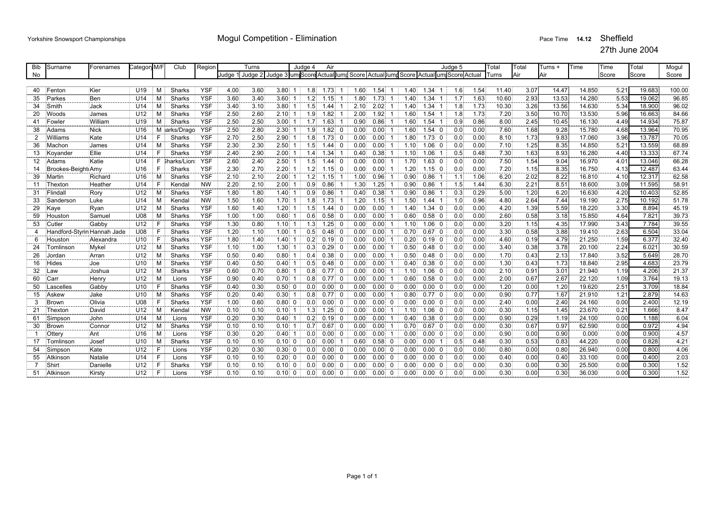| Bib | Surname                     | Forenames | Category M/F    |    | Club          | Region     |       | Turns |                                                                                     | Judge 4          | Air                    |      |      |             |      |             | Judae 5         |      | Total | Total | Turns + | Time   | Time  | Total          | Mogul  |
|-----|-----------------------------|-----------|-----------------|----|---------------|------------|-------|-------|-------------------------------------------------------------------------------------|------------------|------------------------|------|------|-------------|------|-------------|-----------------|------|-------|-------|---------|--------|-------|----------------|--------|
| No  |                             |           |                 |    |               |            | Judae |       | Judge 2 Judge 3 um Score Actual Jump Score Actual Jump Score Actual um Score Actual |                  |                        |      |      |             |      |             |                 |      | Turns | Air   | Air     |        | Score | Score          | Score  |
|     |                             |           |                 |    |               |            |       |       |                                                                                     |                  |                        |      |      |             |      |             |                 |      |       |       |         |        |       |                |        |
| 40  | Fenton                      | Kier      | U <sub>19</sub> | М  | Sharks        | <b>YSF</b> | 4.00  | 3.60  | $3.80$ 1                                                                            | 1.8              | $1.73 \quad 1$         | 1.60 | 1.54 |             | 1.40 | $1.34 \, 1$ | 1.6             | 1.54 | 11.40 | 3.07  | 14.47   | 14.850 | 5.21  | 19.683         | 100.00 |
| 35  | Parkes                      | Ben       | U14             | М  | Sharks        | <b>YSF</b> | 3.60  | 3.40  | 3.60<br>-1                                                                          | 1.2              | 1.15<br>-1             | 1.80 | 1.73 |             | 1.40 | 1.34<br>-1  | 1.7             | 1.63 | 10.60 | 2.93  | 13.53   | 14.280 | 5.53  | 19.062         | 96.85  |
| 34  | Smith                       | Jack      | U14             | M  | Sharks        | <b>YSF</b> | 3.40  | 3.10  | $3.80$ 1                                                                            | 1.5              | $1.44 \pm 1$           | 2.10 | 2.02 |             | 1.40 | 1.34        | 1.8             | 1.73 | 10.30 | 3.26  | 13.56   | 14.630 | 5.34  | 18.900         | 96.02  |
| 20  | Woods                       | James     | U12             | М  | Sharks        | <b>YSF</b> | 2.50  | 2.60  | 2.10<br>-1                                                                          | 1.9              | 1.82<br>-1             | 2.00 | 1.92 |             | 1.60 | 1.54        | 1.8             | 1.73 | 7.20  | 3.50  | 10.70   | 13.530 | 5.96  | 16.663         | 84.66  |
| 41  | Fowler                      | William   | U19             | М  | Sharks        | <b>YSF</b> | 2.50  | 2.50  | 3.00:1                                                                              | 1.7 <sup>1</sup> | 1.63                   | 0.90 | 0.86 |             | 1.60 | 1.54        | 0.9             | 0.86 | 8.00  | 2.45  | 10.45   | 16.130 | 4.49  | 14.934         | 75.87  |
| 38  | Adams                       | Nick      | U <sub>16</sub> |    | M iarks/Drago | <b>YSF</b> | 2.50  | 2.80  | 2.30                                                                                | 1.9              | $1.82 \ 0$             | 0.00 | 0.00 |             | 1.60 | 1.54<br>- 0 | 0.0             | 0.00 | 7.60  | 1.68  | 9.28    | 15.780 | 4.68  | 13.964         | 70.95  |
| 2   | Williams                    | Kate      | U14             |    | Sharks        | <b>YSF</b> | 2.70  | 2.50  | 2.90                                                                                | 1.8              | $1.73 \ 0$             | 0.00 | 0.00 |             | 1.80 | $1.73$ 0    | 0.0             | 0.00 | 8.10  | 1.73  | 9.83    | 17.060 | 3.96  | 13.787         | 70.05  |
| 36  | Machon                      | James     | U14             | М  | Sharks        | <b>YSF</b> | 2.30  | 2.30  | 2.50                                                                                | 1.5              | $.44 \quad 0$          | 0.00 | 0.00 |             | 1.10 | $1.06$ 0    | 0.0             | 0.00 | 7.10  | 1.25  | 8.35    | 14.850 | 5.21  | 13.559         | 68.89  |
| 13  | Kovander                    | Ellie     | U14             | F. | Sharks        | <b>YSF</b> | 2.40  | 2.90  | 2.00<br>-1                                                                          | 1.4              | .34 <sup>1</sup>       | 0.40 | 0.38 |             | 1.10 | $1.06$ 1    | 0.5             | 0.48 | 7.30  | 1.63  | 8.93    | 16.280 | 4.40  | 13.333         | 67.74  |
| 12  | Adams                       | Katie     | U14             |    | F Sharks/Lion | <b>YSF</b> | 2.60  | 2.40  | 2.50                                                                                | 1.5              | $1.44 \quad 0$         | 0.00 | 0.00 |             | 1.70 | $1.63$ 0    | 0.0             | 0.00 | 7.50  | 1.54  | 9.04    | 16.970 | 4.01  | 13.046         | 66.28  |
| 14  | Brookes-Beight Amy          |           | U <sub>16</sub> | F. | Sharks        | <b>YSF</b> | 2.30  | 2.70  | 2.20                                                                                | 1.2              | 1.15<br>$\overline{0}$ | 0.00 | 0.00 |             | 1.20 | 1.15<br>- 0 | 0.0             | 0.00 | 7.20  | 1.15  | 8.35    | 16.750 | 4.13  | 12.487         | 63.44  |
| 39  | Martin                      | Richard   | U16             | М  | Sharks        | <b>YSF</b> | 2.10  | 2.10  | 2.00                                                                                | 1.2              | 1.15                   | 1.00 | 0.96 |             | 0.90 | 0.86        | 1.1             | 1.06 | 6.20  | 2.02  | 8.22    | 16.810 | 4.10  | 12.317         | 62.58  |
| 11  | Thexton                     | Heather   | U <sub>14</sub> |    | Kendal        | <b>NW</b>  | 2.20  | 2.10  | 2.00                                                                                | 0.9              | $0.86$ 1               | 1.30 | 1.25 |             | 0.90 | 0.86        | 1.5             | 1.44 | 6.30  | 2.21  | 8.51    | 18.600 | 3.09  | 11.595         | 58.91  |
| 31  | Flindal                     | Rory      | U12             | M  | Sharks        | <b>YSF</b> | 1.80  | 1.80  | 1.40<br>-1                                                                          | 0.9              | 0.86                   | 0.40 | 0.38 |             | 0.90 | 0.86        | 0.3             | 0.29 | 5.00  | 1.20  | 6.20    | 16.630 | 4.20  | 10.403         | 52.85  |
| 33  | Sanderson                   | Luke      | U <sub>14</sub> | M  | Kendal        | <b>NW</b>  | 1.50  | 1.60  | 1.70                                                                                | 1.8              | 1.73                   | 1.20 | 1.15 |             | 1.50 | 1.44        | 1.0             | 0.96 | 4.80  | 2.64  | 7.44    | 19.190 | 2.75  | 10.192         | 51.78  |
| 29  | Kaye                        | Ryan      | U12             | м  | Sharks        | <b>YSF</b> | 1.60  | 1.40  | 1.20:1                                                                              | 1.5              | $.44 \quad 0$          | 0.00 | 0.00 |             | 1.40 | $1.34$ 0    | 0.0             | 0.00 | 4.20  | 1.39  | 5.59    | 18.220 | 3.30  | 8.894          | 45.19  |
| 59  | Houston                     | Samuel    | <b>U08</b>      | м  | Sharks        | <b>YSF</b> | 1.00  | 1.00  | 0.60                                                                                | 0.6 <sup>1</sup> | $0.58 \ 0$             | 0.00 | 0.00 |             | 0.60 | $0.58$ 0    | 0.0             | 0.00 | 2.60  | 0.58  | 3.18    | 15.850 | 4.64  | $7.82^{\circ}$ | 39.73  |
| 53  | Cutler                      | Gabbv     | U12             | F. | Sharks        | <b>YSF</b> | 1.30  | 0.80  | 1.10<br>-1                                                                          | 1.3              | $1.25 \ 0$             | 0.00 | 0.00 |             | 1.10 | $1.06$ 0    | 0.0             | 0.00 | 3.20  | 1.15  | 4.35    | 17.990 | 3.43  | 7.784          | 39.55  |
| 4   | Handford-Styrin Hannah Jade |           | <b>U08</b>      | F  | Sharks        | <b>YSF</b> | 1.20  | 1.10  | 1.00                                                                                | 0.5              | $0.48 \ 0$             | 0.00 | 0.00 |             | 0.70 | $0.67$ 0    | 0.0             | 0.00 | 3.30  | 0.58  | 3.88    | 19.410 | 2.63  | 6.504          | 33.04  |
| 6   | Houston                     | Alexandra | U <sub>10</sub> | E  | Sharks        | <b>YSF</b> | 1.80  | 1.40  | 1.40                                                                                | 0.2              | $0.19$ 0               | 0.00 | 0.00 |             | 0.20 | 0.19:0      | 0.0             | 0.00 | 4.60  | 0.19  | 4.79    | 21.250 | 1.59  | 6.377          | 32.40  |
| 24  | <sup>-</sup> omlinson       | Mykel     | U12             | M  | Sharks        | <b>YSF</b> | 1.10  | 1.00  | 1.30                                                                                | 0.3              | 0.29<br>$\overline{0}$ | 0.00 | 0.00 |             | 0.50 | $0.48$ 0    | 0.0             | 0.00 | 3.40  | 0.38  | 3.78    | 20.100 | 2.24  | $6.02^{\circ}$ | 30.59  |
| 26  | Jordar                      | Arran     | U12             | M  | Sharks        | <b>YSF</b> | 0.50  | 0.40  | 0.80                                                                                | 0.4              | $0.38$ 0               | 0.00 | 0.00 |             | 0.50 | $0.48$ 0    | 0.0             | 0.00 | 1.70  | 0.43  | 2.13    | 17.840 | 3.52  | 5.649          | 28.70  |
| 16  | Hides                       | Joe       | U10             | M  | Sharks        | <b>YSF</b> | 0.40  | 0.50  | 0.40                                                                                | 0.5              | $0.48 \quad 0$         | 0.00 | 0.00 |             | 0.40 | $0.38$ 0    | 0.0             | 0.00 | 1.30  | 0.43  | 1.73    | 18.840 | 2.95  | 4.683          | 23.79  |
| 32  | _aw                         | Joshua    | U12             | M  | Sharks        | <b>YSF</b> | 0.60  | 0.70  | 0.80<br>-1                                                                          | 0.8              | $0.77$ 0               | 0.00 | 0.00 |             | 1.10 | $1.06 \ 0$  | 0.0             | 0.00 | 2.10  | 0.91  | 3.01    | 21.940 | 1.19  | 4.206          | 21.37  |
| 60  | Carr                        | Henry     | U12             | M  | Lions         | <b>YSF</b> | 0.90  | 0.40  | 0.70                                                                                | 0.8              | $0.77$ 0               | 0.00 | 0.00 |             | 0.60 | $0.58$ 0    | 0.0             | 0.00 | 2.00  | 0.67  | 2.67    | 22.120 | 1.09  | 3.764          | 19.13  |
| 50  | .ascelles                   | Gabby     | U <sub>10</sub> | F. | Sharks        | <b>YSF</b> | 0.40  | 0.30  | $0.50 \ 0$                                                                          | 0.0              | $0.00 \quad 0$         | 0.00 | 0.00 | $\Omega$    | 0.00 | 0.00 0      | 0.0             | 0.00 | 1.20  | 0.00  | 1.20    | 19.620 | 2.51  | 3.709          | 18.84  |
| 15  | Askew                       | Jake      | U10             | м  | Sharks        | <b>YSF</b> | 0.20  | 0.40  | 0.30                                                                                | 0.8              | $0.77 \ 0$             | 0.00 | 0.00 |             | 0.80 | $0.77$ 0    | 0.0             | 0.00 | 0.90  | 0.77  | 1.67    | 21.910 | 1.21  | 2.879          | 14.63  |
| 3   | Brown                       | Olivia    | <b>U08</b>      | F  | Sharks        | <b>YSF</b> | 1.00  | 0.60  | $0.80 \ 0$                                                                          | 0.0              | $0.00 \quad 0$         | 0.00 | 0.00 | $\Omega$    | 0.00 | $0.00$ 0    | 0.0             | 0.00 | 2.40  | 0.00  | 2.40    | 24.160 | 0.00  | 2.400          | 12.19  |
| 21  | Thexton                     | David     | U12             | M  | Kendal        | <b>NW</b>  | 0.10  | 0.10  | 0.10                                                                                | 1.3              | $1.25 \ 0$             | 0.00 | 0.00 |             | 1.10 | $1.06$ 0    | 0.0             | 0.00 | 0.30  | 1.15  | 1.45    | 23.670 | 0.21  | 1.666          | 8.47   |
| 61  | Simpson                     | John      | U14             | M  | Lions         | <b>YSF</b> | 0.20  | 0.30  | 0.40<br>-1                                                                          | 0.2 <sup>1</sup> | $0.19$ 0               | 0.00 | 0.00 |             | 0.40 | $0.38$ 0    | 0.0             | 0.00 | 0.90  | 0.29  | 1.19    | 24.100 | 0.00  | 1.188          | 6.04   |
| 30  | Brown                       | Connor    | U12             | M  | Sharks        | <b>YSF</b> | 0.10  | 0.10  | 0.10<br>$\mathbf{1}$                                                                | 0.7 <sup>1</sup> | 0.67<br>$\overline{0}$ | 0.00 | 0.00 |             | 0.70 | $0.67$ 0    | 0.0             | 0.00 | 0.30  | 0.67  | 0.97    | 62.590 | 0.00  | 0.972          | 4.94   |
|     | Ottery                      | Ant       | U16             | M  | Lions         | <b>YSF</b> | 0.30  | 0.20  | 0.40                                                                                | 0.0              | $0.00 \quad 0$         | 0.00 | 0.00 |             | 0.00 | 0.00 0      | 0.0             | 0.00 | 0.90  | 0.00  | 0.90    | 0.000  | 0.00  | 0.900          | 4.57   |
| 17  | <b>Fomlinson</b>            | Josef     | U10             | M  | Sharks        | <b>YSF</b> | 0.10  | 0.10  | $0.10 \ 0$                                                                          | 0.01             | 0.00                   | 0.60 | 0.58 | 0           | 0.00 | 0.00        | 0.5             | 0.48 | 0.30  | 0.53  | 0.83    | 44.220 | 0.00  | 0.828          | 4.21   |
| 54  | Simpson                     | Kate      | U12             | F  | Lions         | <b>YSF</b> | 0.20  | 0.30  | 0.30<br>$\cdot$ 0                                                                   | 0.0              | $0.00 \quad 0$         | 0.00 | 0.00 | $\mathbf 0$ | 0.00 | $0.00 \ 0$  | 0.0             | 0.00 | 0.80  | 0.00  | 0.80    | 26.940 | 0.00  | 0.800          | 4.06   |
| 55  | Atkinson                    | Natalie   | U <sub>14</sub> | F  | Lions         | <b>YSF</b> | 0.10  | 0.10  | $0.20 \ 0$                                                                          | 0.0              | $0.00 \quad 0$         | 0.00 | 0.00 | $\Omega$    | 0.00 | 0.00 0      | 0.0             | 0.00 | 0.40  | 0.00  | 0.40    | 33.100 | 0.00  | 0.400          | 2.03   |
|     | Shirt                       | Danielle  | U12             |    | Sharks        | <b>YSF</b> | 0.10  | 0.10  | 0.10<br>$\Omega$                                                                    | 0.0              | $0.00 \quad 0$         | 0.00 | 0.00 | 0           | 0.00 | $0.00 \ 0$  | 0.0             | 0.00 | 0.30  | 0.00  | 0.30    | 25.500 | 0.00  | 0.300          | 1.52   |
| 51  | Atkinson                    | Kirstv    | U12             | F  | Lions         | <b>YSF</b> | 0.10  | 0.10  | $0.10 \quad 0$                                                                      | 0.0              | 0.00<br>$\Omega$       | 0.00 | 0.00 | $\Omega$    | 0.00 | 0.00        | 0.0<br>$\Omega$ | 0.00 | 0.30  | 0.00  | 0.30    | 36.030 | 0.00  | 0.300          | 1.52   |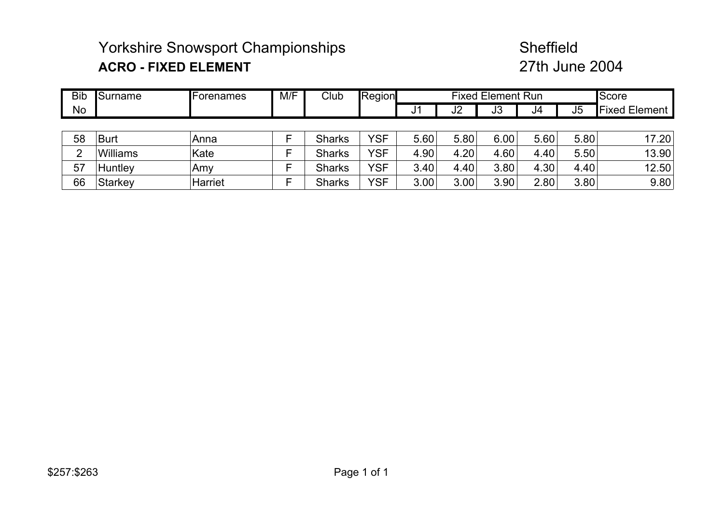# Yorkshire Snowsport Championships Sheffield **ACRO - FIXED ELEMENT**

# 27th June 2004

| <b>Bib</b>    | Surname  | <b>IForenames</b> | M/F    | Club          | Region     |      |      | <b>Fixed Element Run</b> |      |                | Score                |
|---------------|----------|-------------------|--------|---------------|------------|------|------|--------------------------|------|----------------|----------------------|
| No            |          |                   |        |               |            | J1   | J2   | J3                       | J4   | J <sub>5</sub> | <b>Fixed Element</b> |
|               |          |                   |        |               |            |      |      |                          |      |                |                      |
| 58            | Burt     | Anna              |        | <b>Sharks</b> | YSF        | 5.60 | 5.80 | 6.00                     | 5.60 | 5.80           | 17.20                |
| $\mathcal{D}$ | Williams | Kate              |        | <b>Sharks</b> | YSF        | 4.90 | 4.20 | 4.60                     | 4.40 | 5.50           | 13.90                |
| 57            | Huntley  | Amy               | −<br>┕ | <b>Sharks</b> | <b>YSF</b> | 3.40 | 4.40 | 3.80                     | 4.30 | 4.40           | 12.50                |
| 66            | Starkey  | Harriet           | -<br>⊢ | <b>Sharks</b> | <b>YSF</b> | 3.00 | 3.00 | 3.90                     | 2.80 | 3.80           | 9.80                 |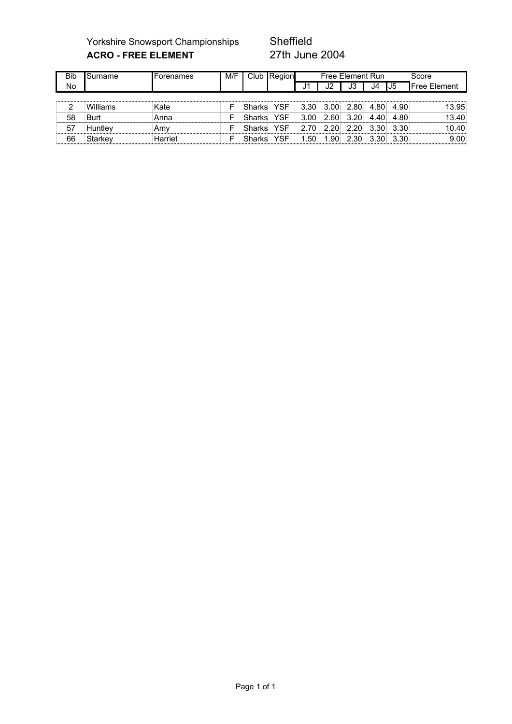Yorkshire Snowsport Championships Sheffield<br>
ACRO - FREE ELEMENT 27th June 2004 **ACRO - FREE ELEMENT** 

| <b>Bib</b> | Surname  | <b>IForenames</b> | M/F |        | Club Region |                  |      | Free Element Run |      |      | Score               |
|------------|----------|-------------------|-----|--------|-------------|------------------|------|------------------|------|------|---------------------|
| No         |          |                   |     |        |             | J1               | J2   | JЗ               | J4   | IJ5  | <b>Free Element</b> |
|            |          |                   |     |        |             |                  |      |                  |      |      |                     |
| っ          | Williams | Kate              |     | Sharks | YSF         | 3.30             | 3.00 | 2.80             | 4.80 | 4.90 | 13.95               |
| 58         | Burt     | Anna              | F   | Sharks | YSF         | 3.00             | 2.60 | 3.20             | 4.40 | 4.80 | 13.40               |
| 57         | Huntley  | .Amv              | F   | Sharks | YSF         | 2.70             | 2.20 | 2.20             | 3.30 | 3.30 | 10.40               |
| 66         | Starkey  | Harriet           | ⊏   | Sharks | YSF         | .50 <sub>1</sub> | 1.90 | 2.30             | 3.30 | 3.30 | 9.00                |